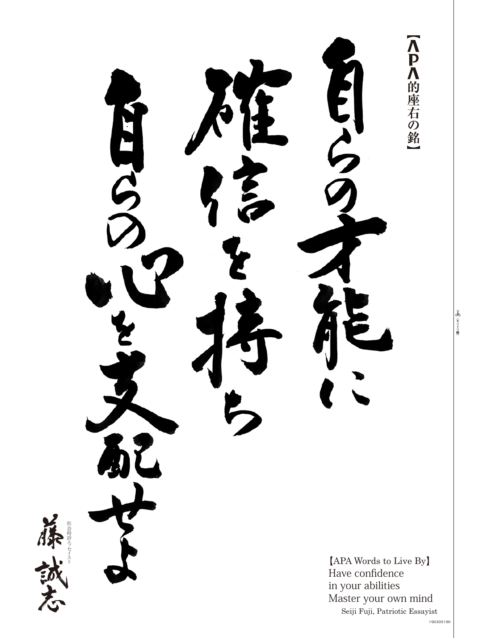【人 】 八 的 座 右 の 銘 SCALES  $[APA$  Words to Live By Have confidence in your abilities Master your own mind Seiji Fuji, Patriotic Essayist

セイスト ッ 社会時評エ